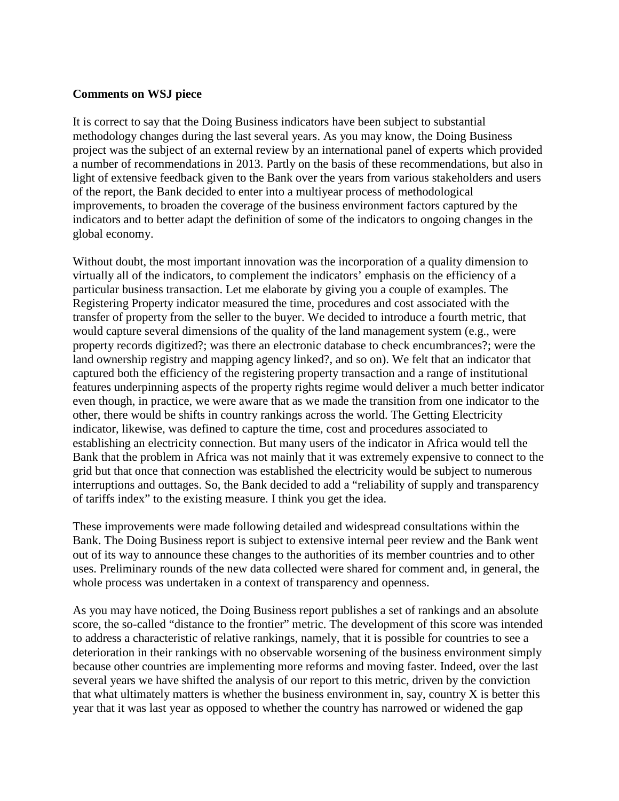## **Comments on WSJ piece**

It is correct to say that the Doing Business indicators have been subject to substantial methodology changes during the last several years. As you may know, the Doing Business project was the subject of an external review by an international panel of experts which provided a number of recommendations in 2013. Partly on the basis of these recommendations, but also in light of extensive feedback given to the Bank over the years from various stakeholders and users of the report, the Bank decided to enter into a multiyear process of methodological improvements, to broaden the coverage of the business environment factors captured by the indicators and to better adapt the definition of some of the indicators to ongoing changes in the global economy.

Without doubt, the most important innovation was the incorporation of a quality dimension to virtually all of the indicators, to complement the indicators' emphasis on the efficiency of a particular business transaction. Let me elaborate by giving you a couple of examples. The Registering Property indicator measured the time, procedures and cost associated with the transfer of property from the seller to the buyer. We decided to introduce a fourth metric, that would capture several dimensions of the quality of the land management system (e.g., were property records digitized?; was there an electronic database to check encumbrances?; were the land ownership registry and mapping agency linked?, and so on). We felt that an indicator that captured both the efficiency of the registering property transaction and a range of institutional features underpinning aspects of the property rights regime would deliver a much better indicator even though, in practice, we were aware that as we made the transition from one indicator to the other, there would be shifts in country rankings across the world. The Getting Electricity indicator, likewise, was defined to capture the time, cost and procedures associated to establishing an electricity connection. But many users of the indicator in Africa would tell the Bank that the problem in Africa was not mainly that it was extremely expensive to connect to the grid but that once that connection was established the electricity would be subject to numerous interruptions and outtages. So, the Bank decided to add a "reliability of supply and transparency of tariffs index" to the existing measure. I think you get the idea.

These improvements were made following detailed and widespread consultations within the Bank. The Doing Business report is subject to extensive internal peer review and the Bank went out of its way to announce these changes to the authorities of its member countries and to other uses. Preliminary rounds of the new data collected were shared for comment and, in general, the whole process was undertaken in a context of transparency and openness.

As you may have noticed, the Doing Business report publishes a set of rankings and an absolute score, the so-called "distance to the frontier" metric. The development of this score was intended to address a characteristic of relative rankings, namely, that it is possible for countries to see a deterioration in their rankings with no observable worsening of the business environment simply because other countries are implementing more reforms and moving faster. Indeed, over the last several years we have shifted the analysis of our report to this metric, driven by the conviction that what ultimately matters is whether the business environment in, say, country  $X$  is better this year that it was last year as opposed to whether the country has narrowed or widened the gap